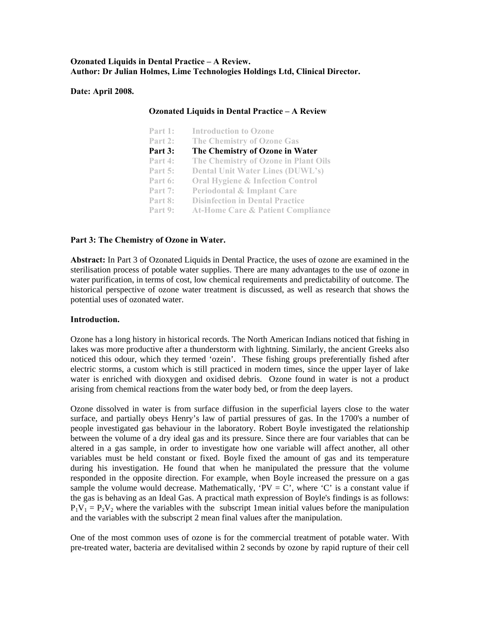## **Ozonated Liquids in Dental Practice – A Review. Author: Dr Julian Holmes, Lime Technologies Holdings Ltd, Clinical Director.**

### **Date: April 2008.**

| <b>Ozonated Liquids in Dental Practice - A Review</b> |                                              |
|-------------------------------------------------------|----------------------------------------------|
| Part 1:                                               | <b>Introduction to Ozone</b>                 |
| Part $2:$                                             | <b>The Chemistry of Ozone Gas</b>            |
| Part 3:                                               | The Chemistry of Ozone in Water              |
| Part 4:                                               | The Chemistry of Ozone in Plant Oils         |
| Part 5:                                               | <b>Dental Unit Water Lines (DUWL's)</b>      |
| Part 6:                                               | <b>Oral Hygiene &amp; Infection Control</b>  |
| Part 7:                                               | <b>Periodontal &amp; Implant Care</b>        |
| Part 8:                                               | <b>Disinfection in Dental Practice</b>       |
| Part 9:                                               | <b>At-Home Care &amp; Patient Compliance</b> |

## Part 3: The Chemistry of Ozone in Water.

Abstract: In Part 3 of Ozonated Liquids in Dental Practice, the uses of ozone are examined in the sterilisation process of potable water supplies. There are many advantages to the use of ozone in water purification, in terms of cost, low chemical requirements and predictability of outcome. The historical perspective of ozone water treatment is discussed, as well as research that shows the potential uses of ozonated water.

# **Introduction.**

Ozone has a long history in historical records. The North American Indians noticed that fishing in lakes was more productive after a thunderstorm with lightning. Similarly, the ancient Greeks also noticed this odour, which they termed 'ozein'. These fishing groups preferentially fished after electric storms, a custom which is still practiced in modern times, since the upper layer of lake water is enriched with dioxygen and oxidised debris. Ozone found in water is not a product arising from chemical reactions from the water body bed, or from the deep layers.

Ozone dissolved in water is from surface diffusion in the superficial layers close to the water surface, and partially obeys Henry's law of partial pressures of gas. In the 1700's a number of people investigated gas behaviour in the laboratory. Robert Boyle investigated the relationship between the volume of a dry ideal gas and its pressure. Since there are four variables that can be the gas is behaving as an Ideal Gas. A practical math expression of Boyle's findings is as follows:  $P_1V_1 = P_2V_2$  where the variables with the subscript 1 mean initial values before the manipulation and the variables with the subscript 2 mean final values after the manipulation. altered in a gas sample, in order to investigate how one variable will affect another, all other variables must be held constant or fixed. Boyle fixed the amount of gas and its temperature during his investigation. He found that when he manipulated the pressure that the volume responded in the opposite direction. For example, when Boyle increased the pressure on a gas sample the volume would decrease. Mathematically, 'PV = C', where 'C' is a constant value if

One of the most common uses of ozone is for the commercial treatment of potable water. With pre-treated water, bacteria are devitalised within 2 seconds by ozone by rapid rupture of their cell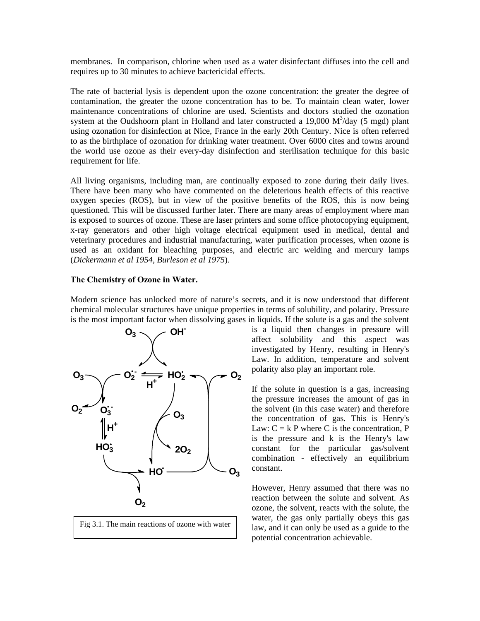membranes. In comparison, chlorine when used as a water disinfectant diffuses into the cell and requires up to 30 minutes to achieve bactericidal effects.

The rate of bacterial lysis is dependent upon the ozone concentration: the greater the degree of contamination, the greater the ozone concentration has to be. To maintain clean water, lower maintenance concentrations of chlorine are used. Scientists and doctors studied the ozonation system at the Oudshoorn plant in Holland and later constructed a 19,000  $M<sup>3</sup>/day$  (5 mgd) plant using ozonation for disinfection at Nice, France in the early 20th Century. Nice is often referred to as the birthplace of ozonation for drinking water treatment. Over 6000 cites and towns around the world use ozone as their every-day disinfection and sterilisation technique for this basic requirement for life.

questioned. This will be discussed further later. There are many areas of employment where man is exposed to sources of ozone. These are laser printers and some office photocopying equipment, All living organisms, including man, are continually exposed to zone during their daily lives. There have been many who have commented on the deleterious health effects of this reactive oxygen species (ROS), but in view of the positive benefits of the ROS, this is now being x-ray generators and other high voltage electrical equipment used in medical, dental and veterinary procedures and industrial manufacturing, water purification processes, when ozone is used as an oxidant for bleaching purposes, and electric arc welding and mercury lamps (*Dickermann et al 1954, Burleson et al 1975*).

## **The Chemistry of Ozone in Water.**

Modern science has unlocked more of nature's secrets, and it is now understood that different chemical molecular structures have unique properties in terms of solubility, and polarity. Pressure is the most important factor when dissolving gases in liquids. If the solute is a gas and the solvent





investigated by Henry, resulting in Henry's Law. In addition, temperature and solvent is a liquid then changes in pressure will affect solubility and this aspect was polarity also play an important role.

constant for the particular gas/solvent combination - effectively an equilibrium constant. If the solute in question is a gas, increasing the pressure increases the amount of gas in the solvent (in this case water) and therefore the concentration of gas. This is Henry's Law:  $C = k$  P where C is the concentration, P is the pressure and k is the Henry's law

potential concentration achievable. However, Henry assumed that there was no reaction between the solute and solvent. As ozone, the solvent, reacts with the solute, the water, the gas only partially obeys this gas law, and it can only be used as a guide to the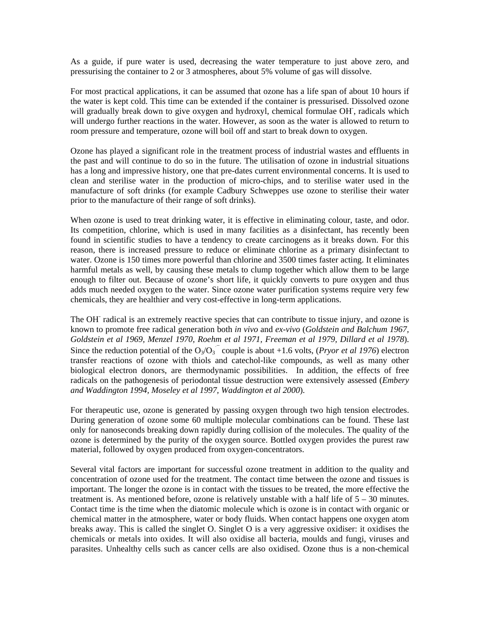As a guide, if pure water is used, decreasing the water temperature to just above zero, and pressurising the container to 2 or 3 atmospheres, about 5% volume of gas will dissolve.

For most practical applications, it can be assumed t hat ozone has a life span of about 10 hours if the water is kept cold. This time can be extended if the container is pressurised. Dissolved ozone will gradually break down to give oxygen and hydroxyl, chemical formulae OH, radicals which will undergo further reactions in the water. Howeve r, as soon as the water is allowed to return to room pressure and temperature, ozone will boil off a nd start to break down to oxygen.

Ozone has played a significant role in the treatment process of industrial wastes and effluents in the past and will continue to do so in the future. T he utilisation of ozone in industrial situations has a long and impressive history, one that pre-dates current environmental concerns. It is used to clean and sterilise water in the production of mi cro-chips, and to sterilise water used in the manufacture of soft drinks (for example Cadbury Schweppes use ozone to sterilise their water prior to the manufacture of their range of soft drinks ).

When ozone is used to treat drinking water, it is effective in eliminating colour, taste, and odor. Its competition, chlorine, which is used in many facilities as a disinfectant, has recently been reason, there is increased pressure to reduce or eliminate chlorine as a primary disinfectant to water. Ozone is 150 times more powerful than chlorine and 3500 times faster acting. It eliminates found in scientific studies to have a tendency to create carcinogens as it breaks down. For this harmful metals as well, by causing these metals to clump together which allow them to be large enough to filter out. Because of ozone's short life, it quickly converts to pure oxygen and thus adds much needed oxygen to the water. Since ozone water purification systems require very few chemicals, they are healthier and very cost-effective in long-term applications.

The OH radical is an extremely reactive species that can contribute to tissue injury, and ozone is radicals on the pathogenesis of periodontal tissue destruction were extensively assessed (*Embery nd Waddington 1994, Moseley et al 1997, Waddington et al 2000*). *a* known to promote free radical generation both *in vivo* and *ex-vivo* (*Goldstein and Balchum 1967, Goldstein et al 1969, Menzel 1970, Roehm et al 1971, Freeman et al 1979, Dillard et al 1978*). Since the reduction potential of the  $O_3/O_3$ <sup> $\bar{ }$ </sup> couple is about +1.6 volts, (*Pryor et al 1976*) electron transfer reactions of ozone with thiols and catechol-like compounds, as well as many other biological electron donors, are thermodynamic possibilities. In addition, the effects of free

For therapeutic use, ozone is generated by passing oxygen through two high tension electrodes. During generation of ozone some 60 multiple molecular combinations can be found. These last only for nanoseconds breaking down rapidly during collision of the molecules. The quality of the ozone is determined by the purity of the oxygen source. Bottled oxygen provides the purest raw material, followed by oxygen produced from oxygen-concentrators.

concentration of ozone used for the treatment. The contact time between the ozone and tissues is important. The longer the ozone is in contact with the tissues to be treated, the more effective the Several vital factors are important for successful ozone treatment in addition to the quality and treatment is. As mentioned before, ozone is relatively unstable with a half life of 5 – 30 minutes. Contact time is the time when the diatomic molecule which is ozone is in contact with organic or chemical matter in the atmosphere, water or body fluids. When contact happens one oxygen atom breaks away. This is called the singlet O. Singlet O is a very aggressive oxidiser: it oxidises the chemicals or metals into oxides. It will also oxidise all bacteria, moulds and fungi, viruses and parasites. Unhealthy cells such as cancer cells are also oxidised. Ozone thus is a non-chemical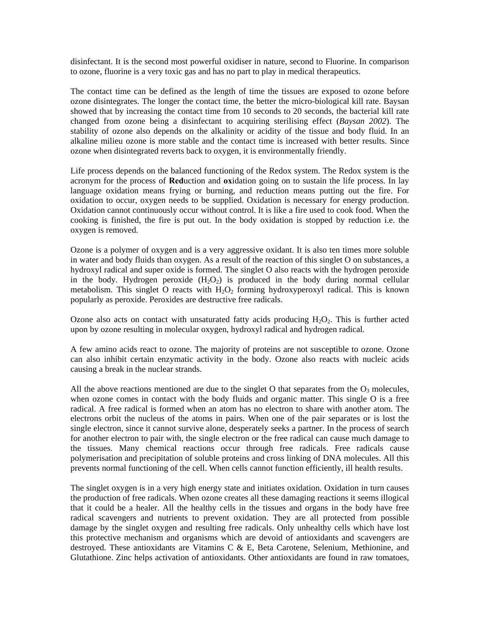disinfectant. It is the second most powerful oxidiser in nature, second to Fluorine. In comparison to ozone, fluorine is a very toxic gas and has no part to play in medical therapeutics.

stability of ozone also depends on the alkalinity or acidity of the tissue and body fluid. In an alkaline milieu ozone is more stable and the contact time is increased with better results. Since The contact time can be defined as the length of time the tissues are exposed to ozone before ozone disintegrates. The longer the contact time, the better the micro-biological kill rate. Baysan showed that by increasing the contact time from 10 seconds to 20 seconds, the bacterial kill rate changed from ozone being a disinfectant to acquiring sterilising effect (*Baysan 2002*). The ozone when disintegrated reverts back to oxygen, it is environmentally friendly.

Life process depends on the balanced functioning of the Redox system. The Redox system is the acronym for the process of **Red**uction and **ox**idation going on to sustain the life process. In lay language oxidation means frying or burning, and reduction means putting out the fire. For oxidation to occur, oxygen needs to be supplied. Oxidation is necessary for energy production. Oxidation cannot continuously occur without control. It is like a fire used to cook food. When the cooking is finished, the fire is put out. In the body oxidation is stopped by reduction i.e. the oxygen is removed.

Ozone is a polymer of oxygen and is a very aggressive oxidant. It is also ten times more soluble in water and body fluids than oxygen. As a result of the reaction of this singlet O on substances, a hydroxyl radical and super oxide is formed. The singlet O also reacts with the hydrogen peroxide in the body. Hydrogen peroxide  $(H_2O_2)$  is produced in the body during normal cellular metabolism. This singlet O reacts with  $H_2O_2$  forming hydroxyperoxyl radical. This is known popularly as peroxide. Peroxides are destructive free radicals.

upon by ozone resulting in molecular oxygen, hydroxyl radical and hydrogen radical. Ozone also acts on contact with unsaturated fatty acids producing  $H_2O_2$ . This is further acted

A few amino acids react to ozone. The majority of proteins are not susceptible to ozone. Ozone can also inhibit certain enzymatic activity in the body. Ozone also reacts with nucleic acids causing a break in the nuclear strands.

radical. A free radical is formed when an atom has no electron to share with another atom. The electrons orbit the nucleus of the atoms in pairs. When one of the pair separates or is lost the All the above reactions mentioned are due to the singlet O that separates from the  $O_3$  molecules, when ozone comes in contact with the body fluids and organic matter. This single O is a free single electron, since it cannot survive alone, desperately seeks a partner. In the process of search for another electron to pair with, the single electron or the free radical can cause much damage to the tissues. Many chemical reactions occur through free radicals. Free radicals cause polymerisation and precipitation of soluble proteins and cross linking of DNA molecules. All this prevents normal functioning of the cell. When cells cannot function efficiently, ill health results.

The singlet oxygen is in a very high energy state and initiates oxidation. Oxidation in turn causes that it could be a healer. All the healthy cells in the tissues and organs in the body have free radical scavengers and nutrients to prevent oxidation. They are all protected from possible destroyed. These antioxidants are Vitamins C & E, Beta Carotene, Selenium, Methionine, and Glutathione. Zinc helps activation of antioxidants. Other antioxidants are found in raw tomatoes, the production of free radicals. When ozone creates all these damaging reactions it seems illogical damage by the singlet oxygen and resulting free radicals. Only unhealthy cells which have lost this protective mechanism and organisms which are devoid of antioxidants and scavengers are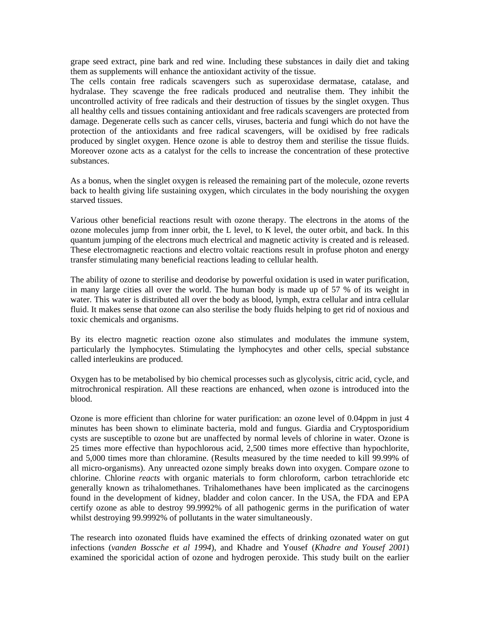grape seed extract, pine bark and red wine. Including these substances in daily diet and taking them as supplements will enhance the antioxidant activity of the tissue.

The cells contain free radicals scavengers such as superoxidase dermatase, catalase, and hydralase. They scavenge the free radicals produced and neutralise them. They inhibit the uncontrolled activity of free radicals and their destruction of tissues by the singlet oxygen. Thus all healthy cells and tissues containing antioxidant and free radicals scavengers are protected from damage. Degenerate cells such as cancer cells, viruses, bacteria and fungi which do not have the protection of the antioxidants and free radical scavengers, will be oxidised by free radicals produced by singlet oxygen. Hence ozone is able to destroy them and sterilise the tissue fluids. Moreover ozone acts as a catalyst for the cells to increase the concentration of these protective substances.

As a bonus, when the singlet oxygen is released the remaining part of the molecule, ozone reverts back to health giving life sustaining oxygen, which circulates in the body nourishing the oxygen starved tissues.

These electromagnetic reactions and electro voltaic reactions result in profuse photon and energy Various other beneficial reactions result with ozone therapy. The electrons in the atoms of the ozone molecules jump from inner orbit, the L level, to K level, the outer orbit, and back. In this quantum jumping of the electrons much electrical and magnetic activity is created and is released. transfer stimulating many beneficial reactions leading to cellular health.

The ability of ozone to sterilise and deodorise by powerful oxidation is used in water purification, in many large cities all over the world. The human body is made up of 57 % of its weight in water. This water is distributed all over the body as blood, lymph, extra cellular and intra cellular fluid. It makes sense that ozone can also sterilise the body fluids helping to get rid of noxious and toxic chemicals and organisms.

By its electro magnetic reaction ozone also stimulates and modulates the immune system, particularly the lymphocytes. Stimulating the lymphocytes and other cells, special substance called interleukins are produced.

Oxygen has to be metabolised by bio chemical processes such as glycolysis, citric acid, cycle, and mitrochronical respiration. All these reactions are enhanced, when ozone is introduced into the blood.

cysts are susceptible to ozone but are unaffected by normal levels of chlorine in water. Ozone is 25 times more effective than hypochlorous acid, 2,500 times more effective than hypochlorite, found in the development of kidney, bladder and colon cancer. In the USA, the FDA and EPA certify ozone as able to destroy 99.9992% of all pathogenic germs in the purification of water Ozone is more efficient than chlorine for water purification: an ozone level of 0.04ppm in just 4 minutes has been shown to eliminate bacteria, mold and fungus. Giardia and Cryptosporidium and 5,000 times more than chloramine. (Results measured by the time needed to kill 99.99% of all micro-organisms). Any unreacted ozone simply breaks down into oxygen. Compare ozone to chlorine. Chlorine *reacts* with organic materials to form chloroform, carbon tetrachloride etc generally known as trihalomethanes. Trihalomethanes have been implicated as the carcinogens whilst destroying 99.9992% of pollutants in the water simultaneously.

The research into ozonated fluids have examined the effects of drinking ozonated water on gut fections (*vanden Bossche et al 1994*), and Khadre and Yousef (*Khadre and Yousef 2001*) inexamined the sporicidal action of ozone and hydrogen peroxide. This study built on the earlier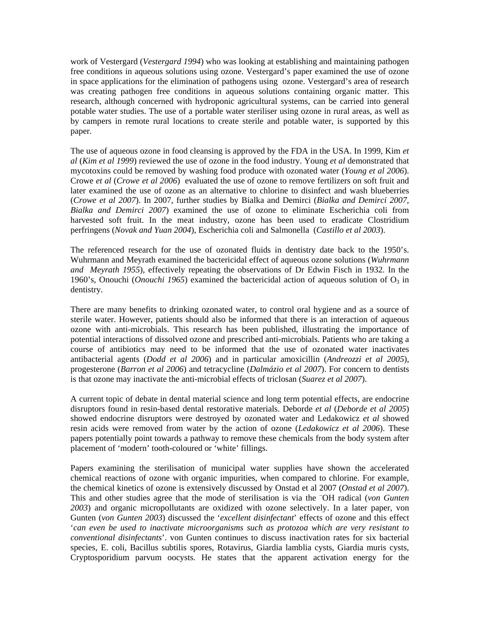work of Vestergard (*Vestergard 1994*) who was looking at establishing and maintaining pathogen free conditions in aqueous solutions using ozone. Vestergard's paper examined the use of ozone in space applications for the elimination of pathogens using ozone. Vestergard's area of research was creating pathogen free conditions in aqueous solutions containing organic matter. This research, although concerned with hydroponic agricultural systems, can be carried into general potable water studies. The use of a portable water steriliser using ozone in rural areas, as well as by campers in remote rural locations to create sterile and potable water, is supported by this paper.

(Crowe et al 2007). In 2007, further studies by Bialka and Demirci (Bialka and Demirci 2007, Bialka and Demirci 2007) examined the use of ozone to eliminate Escherichia coli from The use of aqueous ozone in food cleansing is approved by the FDA in the USA. In 1999, Kim *et al* (*Kim et al 1999*) reviewed the use of ozone in the food industry. Young *et al* demonstrated that mycotoxins could be removed by washing food produce with ozonated water (*Young et al 2006*). Crowe *et al* (*Crowe et al 2006*) evaluated the use of ozone to remove fertilizers on soft fruit and later examined the use of ozone as an alternative to chlorine to disinfect and wash blueberries harvested soft fruit. In the meat industry, ozone has been used to eradicate Clostridium perfringens (*Novak and Yuan 2004*), Escherichia coli and Salmonella (*Castillo et al 2003*).

The referenced research for the use of ozonated fluids in dentistry date back to the 1950's. Wuhrmann and Meyrath examined the bactericidal effect of aqueous ozone solutions (*Wuhrmann and Meyrath 1955*), effectively repeating the observations of Dr Edwin Fisch in 1932. In the 1960's, Onouchi (*Onouchi 1965*) examined the bactericidal action of aqueous solution of  $O_3$  in dentistry.

sterile water. However, patients should also be informed that there is an interaction of aqueous ozone with anti-microbials. This research has been published, illustrating the importance of There are many benefits to drinking ozonated water, to control oral hygiene and as a source of potential interactions of dissolved ozone and prescribed anti-microbials. Patients who are taking a course of antibiotics may need to be informed that the use of ozonated water inactivates antibacterial agents (*Dodd et al 2006*) and in particular amoxicillin (*Andreozzi et al 2005*), progesterone (*Barron et al 2006*) and tetracycline (*Dalmázio et al 2007*). For concern to dentists is that ozone may inactivate the anti-microbial effects of triclosan (*Suarez et al 2007*).

showed endocrine disruptors were destroyed by ozonated water and Ledakowicz et al showed resin acids were removed from water by the action of ozone (*Ledakowicz et al 2006*). These A current topic of debate in dental material science and long term potential effects, are endocrine disruptors found in resin-based dental restorative materials. Deborde *et al* (*Deborde et al 2005*) papers potentially point towards a pathway to remove these chemicals from the body system after placement of 'modern' tooth-coloured or 'white' fillings.

chemical reactions of ozone with organic impurities, when compared to chlorine. For example, the chemical kinetics of ozone is extensively discussed by Onstad et al 2007 (Onstad et al 2007). Cryptosporidium parvum oocysts. He states that the apparent activation energy for the Papers examining the sterilisation of municipal water supplies have shown the accelerated This and other studies agree that the mode of sterilisation is via the <sup>-</sup>OH radical (von Gunten *2003*) and organic micropollutants are oxidized with ozone selectively. In a later paper, von Gunten (*von Gunten 2003*) discussed the '*excellent disinfectant*' effects of ozone and this effect '*can even be used to inactivate microorganisms such as protozoa which are very resistant to conventional disinfectants*'. von Gunten continues to discuss inactivation rates for six bacterial species, E. coli, Bacillus subtilis spores, Rotavirus, Giardia lamblia cysts, Giardia muris cysts,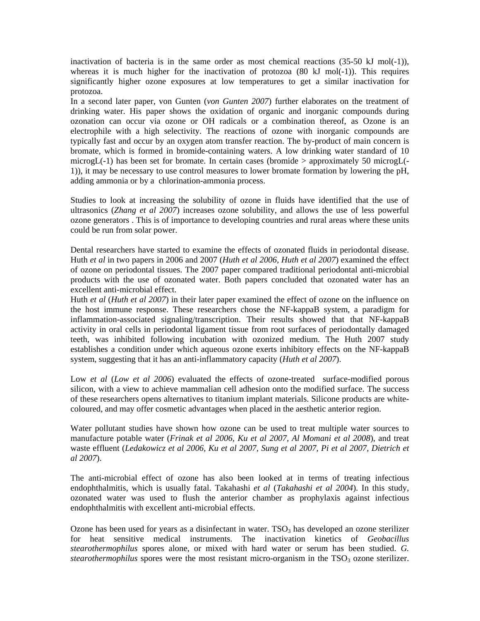inactivation of bacteria is in the same order as most chemical reactions  $(35-50 \text{ kJ mol}(-1))$ , whereas it is much higher for the inactivation of protozoa (80 kJ mol(-1)). This requires significantly higher ozone exposures at low temperatures to get a similar inactivation for protozoa.

typically fast and occur by an oxygen atom transfer reaction. The by-product of main concern is bromate, which is formed in bromide-containing waters. A low drinking water standard of 10 In a second later paper, von Gunten (*von Gunten 2007*) further elaborates on the treatment of drinking water. His paper shows the oxidation of organic and inorganic compounds during ozonation can occur via ozone or OH radicals or a combination thereof, as Ozone is an electrophile with a high selectivity. The reactions of ozone with inorganic compounds are microgL( $-1$ ) has been set for bromate. In certain cases (bromide  $>$  approximately 50 microgL( $-$ 1)), it may be necessary to use control measures to lower bromate formation by lowering the pH, adding ammonia or by a chlorination-ammonia process.

Studies to look at increasing the solubility of ozone in fluids have identified that the use of ultrasonics (*Zhang et al 2007*) increases ozone solubility, and allows the use of less powerful ozone generators . This is of importance to developing countries and rural areas where these units could be run from solar power.

excellent anti-microbial effect. Dental researchers have started to examine the effects of ozonated fluids in periodontal disease. Huth *et al* in two papers in 2006 and 2007 (*Huth et al 2006, Huth et al 2007*) examined the effect of ozone on periodontal tissues. The 2007 paper compared traditional periodontal anti-microbial products with the use of ozonated water. Both papers concluded that ozonated water has an

Huth *et al* (*Huth et al 2007*) in their later paper examined the effect of ozone on the influence on the host immune response. These researchers chose the NF-kappaB system, a paradigm for inflammation-associated signaling/transcription. Their results showed that that NF-kappaB activity in oral cells in periodontal ligament tissue from root surfaces of periodontally damaged teeth, was inhibited following incubation with ozonized medium. The Huth 2007 study establishes a condition under which aqueous ozone exerts inhibitory effects on the NF-kappaB system, suggesting that it has an anti-inflammatory capacity (*Huth et al 2007*).

Low *et al (Low et al 2006)* evaluated the effects of ozone-treated surface-modified porous silicon, with a view to achieve mammalian cell adhesion onto the modified surface. The success of these researchers opens alternatives to titanium implant materials. Silicone products are whitecoloured, and may offer cosmetic advantages when placed in the aesthetic anterior region.

Water pollutant studies have shown how ozone can be used to treat multiple water sources to manufacture potable water (*Frinak et al 2006, Ku et al 2007, Al Momani et al 2008*), and treat waste effluent (*Ledakowicz et al 2006, Ku et al 2007, Sung et al 2007, Pi et al 2007, Dietrich et al 2007*).

endophthalmitis, which is usually fatal. Takahashi et al (*Takahashi et al 2004*). In this study, The anti-microbial effect of ozone has also been looked at in terms of treating infectious ozonated water was used to flush the anterior chamber as prophylaxis against infectious endophthalmitis with excellent anti-microbial effects.

stearothermophilus spores were the most resistant micro-organism in the TSO<sub>3</sub> ozone sterilizer. Ozone has been used for years as a disinfectant in water.  $TSO<sub>3</sub>$  has developed an ozone sterilizer for heat sensitive medical instruments. The inactivation kinetics of *Geobacillus stearothermophilus* spores alone, or mixed with hard water or serum has been studied. *G.*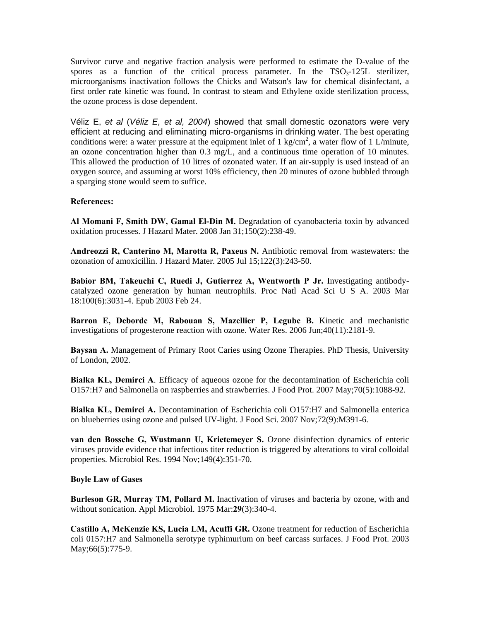Survivor curve and negative fraction analysis were performed to estimate the D-value of the spores as a function of the critical process parameter. In the  $TSO<sub>3</sub>-125L$  sterilizer, microorganisms inactivation follows the Chicks and Watson's law for chemical disinfectant, a first order rate kinetic was found. In contrast to steam and Ethylene oxide sterilization process, the ozone process is dose dependent.

an ozone concentration higher than  $0.3 \text{ mg/L}$ , and a continuous time operation of 10 minutes. This allowed the production of 10 litres of ozonated water. If an air-supply is used instead of an Véliz E, *et al* (*Véliz E, et al, 2004*) showed that small domestic ozonators were very efficient at reducing and eliminating micro-organisms in drinking water. The best operating conditions were: a water pressure at the equipment inlet of 1 kg/cm<sup>2</sup>, a water flow of 1 L/minute, oxygen source, and assuming at worst 10% efficiency, then 20 minutes of ozone bubbled through a sparging stone would seem to suffice.

# **References:**

**Al Momani F, Smith DW, Gamal El-Din M.** Degradation of cyanobacteria toxin by advanced oxidation processes. J Hazard Mater. 2008 Jan 31;150(2):238-49.

**Andreozzi R, Canterino M, Marotta R, Paxeus N.** Antibiotic removal from wastewaters: the ozonation of amoxicillin. J Hazard Mater. 2005 Jul 15;122(3):243-50.

**Babior BM, Takeuchi C, Ruedi J, Gutierrez A, Wentworth P Jr.** Investigating antibodycatalyzed ozone generation by human neutrophils. Proc Natl Acad Sci U S A. 2003 Mar 18:100(6):3031-4. Epub 2003 Feb 24.

**Barron E, Deborde M, Rabouan S, Mazellier P, Legube B.** Kinetic and mechanistic investigations of progesterone reaction with ozone. Water Res. 2006 Jun;40(11):2181-9.

**Baysan A.** Management of Primary Root Caries using Ozone Therapies. PhD Thesis, University of London, 2002.

Bialka KL, Demirci A. Efficacy of aqueous ozone for the decontamination of Escherichia coli 157:H7 and Salmonella on raspberries and strawberries. J Food Prot. 2007 May;70(5):1088-92. O

Bialka KL, Demirci A. Decontamination of Escherichia coli O157:H7 and Salmonella enterica on blueberries using ozone and pulsed UV-light. J Food Sci. 2007 Nov;72(9):M391-6.

van den Bossche G, Wustmann U, Krietemeyer S. Ozone disinfection dynamics of enteric viruses provide evidence that infectious titer reduction is triggered by alterations to viral colloidal properties. Microbiol Res. 1994 Nov;149(4):351-70.

#### **Boyle Law of Gases**

Burleson GR, Murray TM, Pollard M. Inactivation of viruses and bacteria by ozone, with and without sonication. Appl Microbiol. 1975 Mar:29(3):340-4.

Castillo A, McKenzie KS, Lucia LM, Acuffi GR. Ozone treatment for reduction of Escherichia coli 0157:H7 and Salmonella serotype typhimurium on beef carcass surfaces. J Food Prot. 2003 May;66(5):775-9.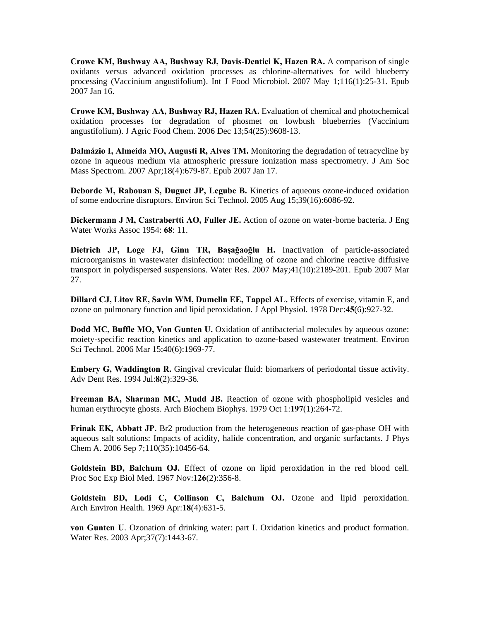**Crowe KM, Bushway AA, Bushway RJ, Davis-Dentici K, Hazen RA.** A comparison of single 2007 Jan 16. oxidants versus advanced oxidation processes as chlorine-alternatives for wild blueberry processing (Vaccinium angustifolium). Int J Food Microbiol. 2007 May 1;116(1):25-31. Epub

Crowe KM, Bushway AA, Bushway RJ, Hazen RA. Evaluation of chemical and photochemical oxidation processes for degradation of phosmet on lowbush blueberries (Vaccinium angustifolium). J Agric Food Chem. 2006 Dec 13;54(25):9608-13.

Dalmázio I, Almeida MO, Augusti R, Alves TM. Monitoring the degradation of tetracycline by ozone in aqueous medium via atmospheric pressure ionization mass spectrometry. J Am Soc Mass Spectrom. 2007 Apr;18(4):679-87. Epub 2007 Jan 17.

of some endocrine disruptors. Environ Sci Technol. 2005 Aug 15;39(16):6086-92. **Deborde M, Rabouan S, Duguet JP, Legube B.** Kinetics of aqueous ozone-induced oxidation

**Dickermann J M, Castrabertti AO, Fuller JE.** Action of ozone on water-borne bacteria. J Eng Water Works Assoc 1954: **68**: 11.

**ietrich JP, Loge FJ, Ginn TR, Başağaoğlu H.** Inactivation of particle-associated **D** microorganisms in wastewater disinfection: modelling of ozone and chlorine reactive diffusive transport in polydispersed suspensions. Water Res. 2007 May;41(10):2189-201. Epub 2007 Mar 27.

Dillard CJ, Litov RE, Savin WM, Dumelin EE, Tappel AL. Effects of exercise, vitamin E, and ozone on pulmonary function and lipid peroxidation. J Appl Physiol. 1978 Dec:**45**(6):927-32.

Dodd MC, Buffle MO, Von Gunten U. Oxidation of antibacterial molecules by aqueous ozone: moiety-specific reaction kinetics and application to ozone-based wastewater treatment. Environ Sci Technol. 2006 Mar 15;40(6):1969-77.

Embery G, Waddington R. Gingival crevicular fluid: biomarkers of periodontal tissue activity. dv Dent Res. 1994 Jul:**8**(2):329-36. A

Freeman BA, Sharman MC, Mudd JB. Reaction of ozone with phospholipid vesicles and human erythrocyte ghosts. Arch Biochem Biophys. 1979 Oct 1:197(1):264-72.

Frinak EK, Abbatt JP. Br2 production from the heterogeneous reaction of gas-phase OH with aqueous salt solutions: Impacts of acidity, halide concentration, and organic surfactants. J Phys Chem A. 2006 Sep 7;110(35):10456-64.

Proc Soc Exp Biol Med. 1967 Nov:126(2):356-8. **Goldstein BD, Balchum OJ.** Effect of ozone on lipid peroxidation in the red blood cell.

**Goldstein BD, Lodi C, Collinson C, Balchum OJ.** Ozone and lipid peroxidation. Arch Environ Health. 1969 Apr:**18**(4):631-5.

**von Gunten U**. Ozonation of drinking water: part I. Oxidation kinetics and product formation. Water Res. 2003 Apr;37(7):1443-67.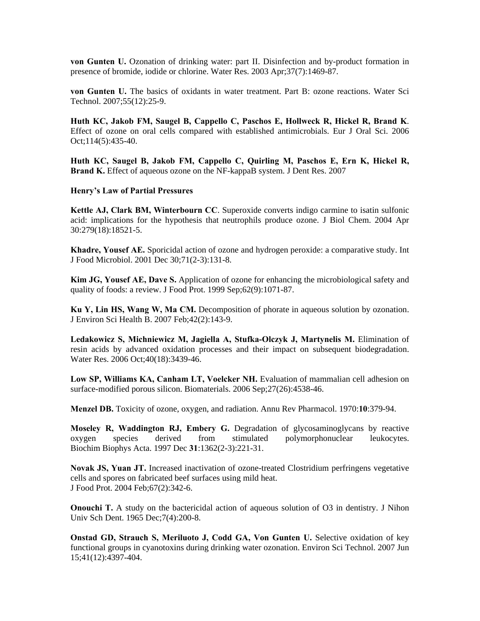**von Gunten U.** Ozonation of drinking water: part II. Disinfection and by-product formation in presence of bromide, iodide or chlorine. Water Res. 2003 Apr;37(7):1469-87.

**von Gunten U.** The basics of oxidants in water treatment. Part B: ozone reactions. Water Sci Technol. 2007;55(12):25-9.

**Huth KC, Jakob FM, Saugel B, Cappello C, Paschos E, Hollweck R, Hickel R, Brand K**. Effect of ozone on oral cells compared with established antimicrobials. Eur J Oral Sci. 2006 Oct;114(5):435-40.

Brand K. Effect of aqueous ozone on the NF-kappaB system. J Dent Res. 2007 **Huth KC, Saugel B, Jakob FM, Cappello C, Quirling M, Paschos E, Ern K, Hickel R,** 

#### **Henry's Law of Partial Pressures**

Kettle AJ, Clark BM, Winterbourn CC. Superoxide converts indigo carmine to isatin sulfonic acid: implications for the hypothesis that neutrophils produce ozone. J Biol Chem. 2004 Apr 30:279(18):18521-5.

**Khadre, Yousef AE.** Sporicidal action of ozone and hydrogen peroxide: a comparative study. Int J Food Microbiol. 2001 Dec 30;71(2-3):131-8.

quality of foods: a review. J Food Prot. 1999 Sep;62(9):1071-87. **Kim JG, Yousef AE, Dave S.** Application of ozone for enhancing the microbiological safety and

**Ku Y, Lin HS, Wang W, Ma CM.** Decomposition of phorate in aqueous solution by ozonation. J Environ Sci Health B. 2007 Feb;42(2):143-9.

Ledakowicz S, Michniewicz M, Jagiella A, Stufka-Olczyk J, Martynelis M. Elimination of resin acids by advanced oxidation processes and their impact on subsequent biodegradation. Water Res. 2006 Oct;40(18):3439-46.

Low SP, Williams KA, Canham LT, Voelcker NH. Evaluation of mammalian cell adhesion on surface-modified porous silicon. Biomaterials. 2006 Sep;27(26):4538-46.

**Menzel DB.** Toxicity of ozone, oxygen, and radiation. Annu Rev Pharmacol. 1970:**10**:379-94.

Moseley R, Waddington RJ, Embery G. Degradation of glycosaminoglycans by reactive 31. Biochim Biophys Acta. 1997 Dec **31**:1362(2-3):221 oxygen species derived from stimulated polymorphonuclear leukocytes.

 Food Prot. 2004 Feb;67(2):342-6. J **Novak JS, Yuan JT.** Increased inactivation of ozone-treated Clostridium perfringens vegetative cells and spores on fabricated beef surfaces using mild heat.

**Onouchi T.** A study on the bactericidal action of aqueous solution of O3 in dentistry. J Nihon Univ Sch Dent. 1965 Dec; 7(4): 200-8.

functional groups in cyanotoxins during drinking water ozonation. Environ Sci Technol. 2007 Jun 5;41(12):4397-404. 1**Onstad GD, Strauch S, Meriluoto J, Codd GA, Von Gunten U.** Selective oxidation of key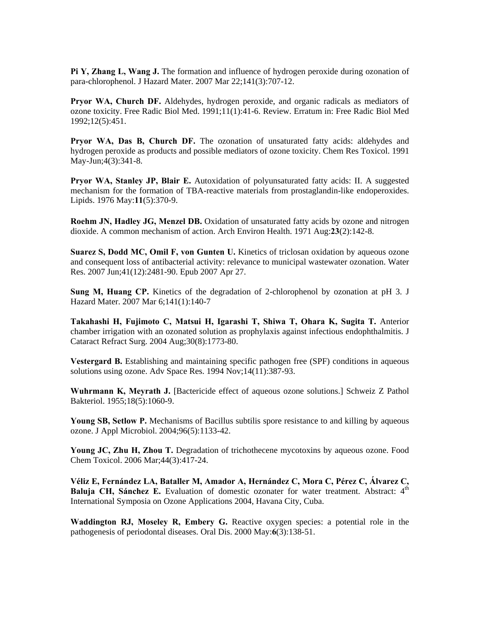**Pi Y, Zhang L, Wang J.** The formation and influence of hydrogen peroxide during ozonation of para-chlorophenol. J Hazard Mater. 2007 Mar 22;141(3):707-12.

Pryor WA, Church DF. Aldehydes, hydrogen peroxide, and organic radicals as mediators of ozone toxicity. Free Radic Biol Med. 1991;11(1):41-6. Review. Erratum in: Free Radic Biol Med 1992;12(5):451.

Pryor WA, Das B, Church DF. The ozonation of unsaturated fatty acids: aldehydes and hydrogen peroxide as products and possible mediators of ozone toxicity. Chem Res Toxicol. 1991 May-Jun;4(3):341-8.

Pryor WA, Stanley JP, Blair E. Autoxidation of polyunsaturated fatty acids: II. A suggested mechanism for the formation of TBA-reactive materials from prostaglandin-like endoperoxides. Lipids. 1976 May:**11**(5):370-9.

**Roehm JN, Hadley JG, Menzel DB.** Oxidation of unsaturated fatty acids by ozone and nitrogen dioxide. A common mechanism of action. Arch Environ Health. 1971 Aug:**23**(2):142-8.

Suarez S, Dodd MC, Omil F, von Gunten U. Kinetics of triclosan oxidation by aqueous ozone and consequent loss of antibacterial activity: relevance to municipal wastewater ozonation. Water Res. 2007 Jun;41(12):2481-90. Epub 2007 Apr 27.

**Sung M, Huang CP.** Kinetics of the degradation of 2-chlorophenol by ozonation at pH 3. J Hazard Mater. 2007 Mar 6;141(1):140-7

**akahashi H, Fujimoto C, Matsui H, Igarashi T, Shiwa T, Ohara K, Sugita T.** Anterior **T** chamber irrigation with an ozonated solution as prophylaxis against infectious endophthalmitis. J Cataract Refract Surg. 2004 Aug;30(8):1773-80.

Vestergard B. Establishing and maintaining specific pathogen free (SPF) conditions in aqueous solutions using ozone. Adv Space Res. 1994 Nov;14(11):387-93.

Wuhrmann K, Meyrath J. [Bactericide effect of aqueous ozone solutions.] Schweiz Z Pathol Bakteriol. 1955;18(5):1060-9.

Young SB, Setlow P. Mechanisms of Bacillus subtilis spore resistance to and killing by aqueous ozone. J Appl Microbiol. 2004;96(5):1133-42.

**Young JC, Zhu H, Zhou T.** Degradation of trichothecene mycotoxins by aqueous ozone. Food Chem Toxicol. 2006 Mar;44(3):417-24.

Baluja CH, Sánchez E. Evaluation of domestic ozonater for water treatment. Abstract: 4<sup>th</sup> International Symposia on Ozone Applications 2004, Havana City, Cuba. **Véliz E, Fernández LA, Bataller M, Amador A, Hernández C, Mora C, Pérez C, Álvarez C,** 

pathogenesis of periodontal diseases. Oral Dis. 2000 May:6(3):138-51. **Waddington RJ, Moseley R, Embery G.** Reactive oxygen species: a potential role in the